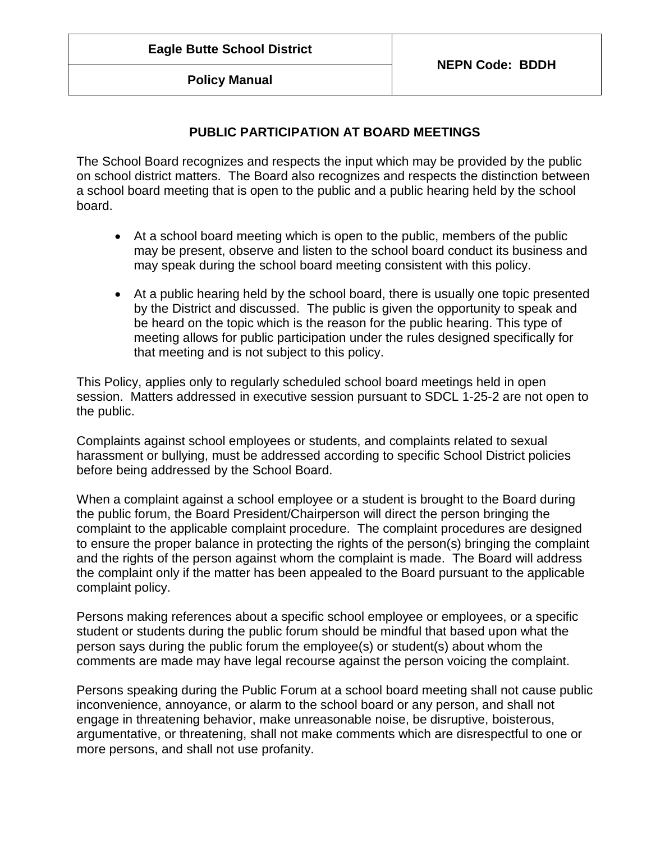**Policy Manual**

# **PUBLIC PARTICIPATION AT BOARD MEETINGS**

The School Board recognizes and respects the input which may be provided by the public on school district matters. The Board also recognizes and respects the distinction between a school board meeting that is open to the public and a public hearing held by the school board.

- At a school board meeting which is open to the public, members of the public may be present, observe and listen to the school board conduct its business and may speak during the school board meeting consistent with this policy.
- At a public hearing held by the school board, there is usually one topic presented by the District and discussed. The public is given the opportunity to speak and be heard on the topic which is the reason for the public hearing. This type of meeting allows for public participation under the rules designed specifically for that meeting and is not subject to this policy.

This Policy, applies only to regularly scheduled school board meetings held in open session. Matters addressed in executive session pursuant to SDCL 1-25-2 are not open to the public.

Complaints against school employees or students, and complaints related to sexual harassment or bullying, must be addressed according to specific School District policies before being addressed by the School Board.

When a complaint against a school employee or a student is brought to the Board during the public forum, the Board President/Chairperson will direct the person bringing the complaint to the applicable complaint procedure. The complaint procedures are designed to ensure the proper balance in protecting the rights of the person(s) bringing the complaint and the rights of the person against whom the complaint is made. The Board will address the complaint only if the matter has been appealed to the Board pursuant to the applicable complaint policy.

Persons making references about a specific school employee or employees, or a specific student or students during the public forum should be mindful that based upon what the person says during the public forum the employee(s) or student(s) about whom the comments are made may have legal recourse against the person voicing the complaint.

Persons speaking during the Public Forum at a school board meeting shall not cause public inconvenience, annoyance, or alarm to the school board or any person, and shall not engage in threatening behavior, make unreasonable noise, be disruptive, boisterous, argumentative, or threatening, shall not make comments which are disrespectful to one or more persons, and shall not use profanity.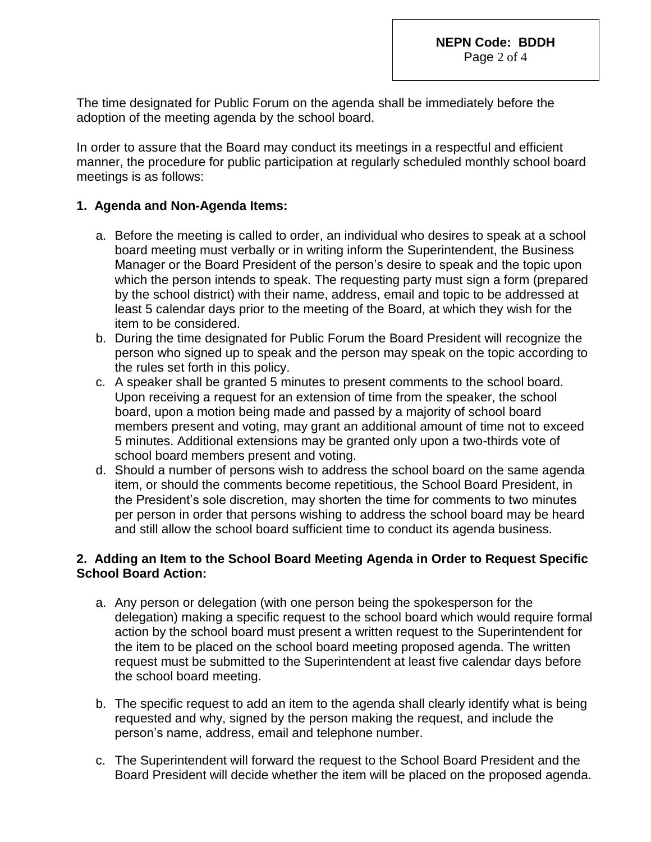The time designated for Public Forum on the agenda shall be immediately before the adoption of the meeting agenda by the school board.

In order to assure that the Board may conduct its meetings in a respectful and efficient manner, the procedure for public participation at regularly scheduled monthly school board meetings is as follows:

### **1. Agenda and Non-Agenda Items:**

- a. Before the meeting is called to order, an individual who desires to speak at a school board meeting must verbally or in writing inform the Superintendent, the Business Manager or the Board President of the person's desire to speak and the topic upon which the person intends to speak. The requesting party must sign a form (prepared by the school district) with their name, address, email and topic to be addressed at least 5 calendar days prior to the meeting of the Board, at which they wish for the item to be considered.
- b. During the time designated for Public Forum the Board President will recognize the person who signed up to speak and the person may speak on the topic according to the rules set forth in this policy.
- c. A speaker shall be granted 5 minutes to present comments to the school board. Upon receiving a request for an extension of time from the speaker, the school board, upon a motion being made and passed by a majority of school board members present and voting, may grant an additional amount of time not to exceed 5 minutes. Additional extensions may be granted only upon a two-thirds vote of school board members present and voting.
- d. Should a number of persons wish to address the school board on the same agenda item, or should the comments become repetitious, the School Board President, in the President's sole discretion, may shorten the time for comments to two minutes per person in order that persons wishing to address the school board may be heard and still allow the school board sufficient time to conduct its agenda business.

#### **2. Adding an Item to the School Board Meeting Agenda in Order to Request Specific School Board Action:**

- a. Any person or delegation (with one person being the spokesperson for the delegation) making a specific request to the school board which would require formal action by the school board must present a written request to the Superintendent for the item to be placed on the school board meeting proposed agenda. The written request must be submitted to the Superintendent at least five calendar days before the school board meeting.
- b. The specific request to add an item to the agenda shall clearly identify what is being requested and why, signed by the person making the request, and include the person's name, address, email and telephone number.
- c. The Superintendent will forward the request to the School Board President and the Board President will decide whether the item will be placed on the proposed agenda.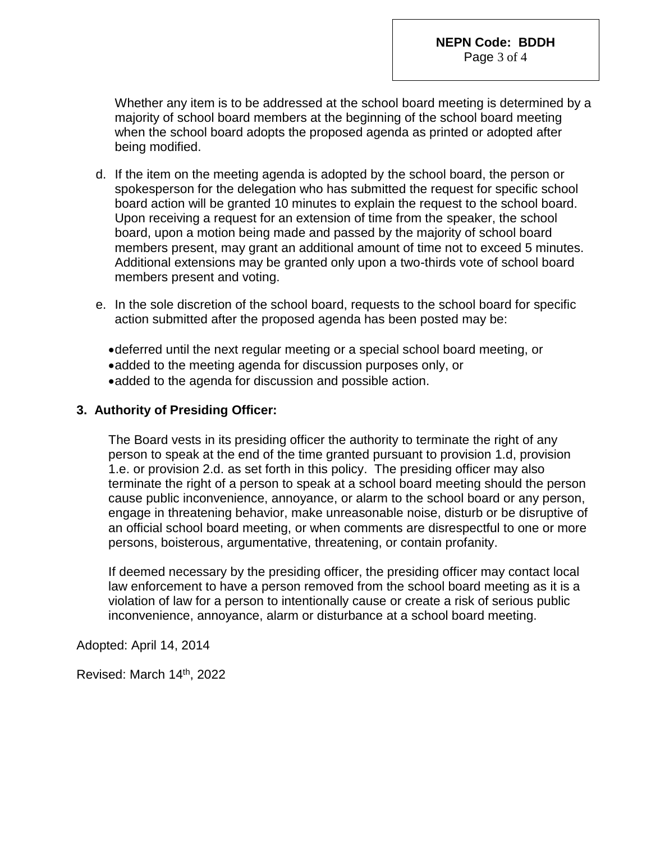Whether any item is to be addressed at the school board meeting is determined by a majority of school board members at the beginning of the school board meeting when the school board adopts the proposed agenda as printed or adopted after being modified.

- d. If the item on the meeting agenda is adopted by the school board, the person or spokesperson for the delegation who has submitted the request for specific school board action will be granted 10 minutes to explain the request to the school board. Upon receiving a request for an extension of time from the speaker, the school board, upon a motion being made and passed by the majority of school board members present, may grant an additional amount of time not to exceed 5 minutes. Additional extensions may be granted only upon a two-thirds vote of school board members present and voting.
- e. In the sole discretion of the school board, requests to the school board for specific action submitted after the proposed agenda has been posted may be:
	- deferred until the next regular meeting or a special school board meeting, or
	- added to the meeting agenda for discussion purposes only, or
	- added to the agenda for discussion and possible action.

#### **3. Authority of Presiding Officer:**

The Board vests in its presiding officer the authority to terminate the right of any person to speak at the end of the time granted pursuant to provision 1.d, provision 1.e. or provision 2.d. as set forth in this policy. The presiding officer may also terminate the right of a person to speak at a school board meeting should the person cause public inconvenience, annoyance, or alarm to the school board or any person, engage in threatening behavior, make unreasonable noise, disturb or be disruptive of an official school board meeting, or when comments are disrespectful to one or more persons, boisterous, argumentative, threatening, or contain profanity.

If deemed necessary by the presiding officer, the presiding officer may contact local law enforcement to have a person removed from the school board meeting as it is a violation of law for a person to intentionally cause or create a risk of serious public inconvenience, annoyance, alarm or disturbance at a school board meeting.

Adopted: April 14, 2014

Revised: March 14<sup>th</sup>, 2022